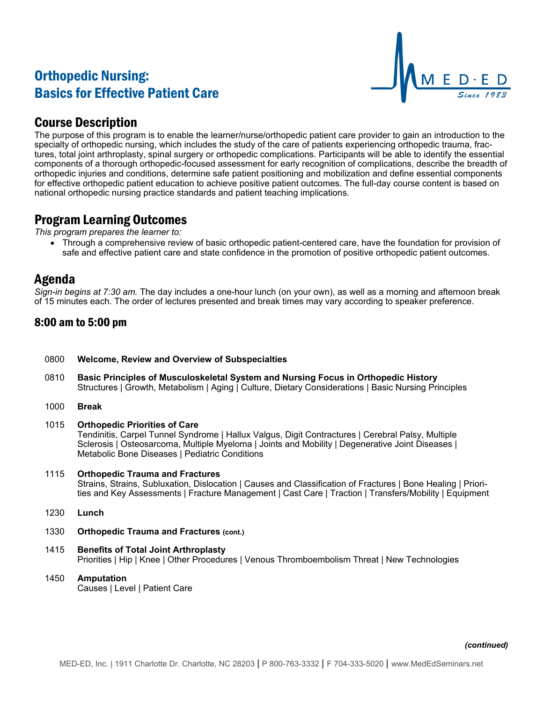# Orthopedic Nursing: Basics for Effective Patient Care



### Course Description

The purpose of this program is to enable the learner/nurse/orthopedic patient care provider to gain an introduction to the specialty of orthopedic nursing, which includes the study of the care of patients experiencing orthopedic trauma, fractures, total joint arthroplasty, spinal surgery or orthopedic complications. Participants will be able to identify the essential components of a thorough orthopedic-focused assessment for early recognition of complications, describe the breadth of orthopedic injuries and conditions, determine safe patient positioning and mobilization and define essential components for effective orthopedic patient education to achieve positive patient outcomes. The full-day course content is based on national orthopedic nursing practice standards and patient teaching implications.

### Program Learning Outcomes

*This program prepares the learner to:*

• Through a comprehensive review of basic orthopedic patient-centered care, have the foundation for provision of safe and effective patient care and state confidence in the promotion of positive orthopedic patient outcomes.

# Agenda

*Sign-in begins at 7:30 am.* The day includes a one-hour lunch (on your own), as well as a morning and afternoon break of 15 minutes each. The order of lectures presented and break times may vary according to speaker preference.

### 8:00 am to 5:00 pm

- 0800 **Welcome, Review and Overview of Subspecialties**
- 0810 **Basic Principles of Musculoskeletal System and Nursing Focus in Orthopedic History** Structures | Growth, Metabolism | Aging | Culture, Dietary Considerations | Basic Nursing Principles
- 1000 **Break**
- 1015 **Orthopedic Priorities of Care** Tendinitis, Carpel Tunnel Syndrome | Hallux Valgus, Digit Contractures | Cerebral Palsy, Multiple Sclerosis | Osteosarcoma, Multiple Myeloma | Joints and Mobility | Degenerative Joint Diseases | Metabolic Bone Diseases | Pediatric Conditions

### 1115 **Orthopedic Trauma and Fractures**

Strains, Strains, Subluxation, Dislocation | Causes and Classification of Fractures | Bone Healing | Priorities and Key Assessments | Fracture Management | Cast Care | Traction | Transfers/Mobility | Equipment

- 1230 **Lunch**
- 1330 **Orthopedic Trauma and Fractures (cont.)**
- 1415 **Benefits of Total Joint Arthroplasty** Priorities | Hip | Knee | Other Procedures | Venous Thromboembolism Threat | New Technologies
- 1450 **Amputation** Causes | Level | Patient Care